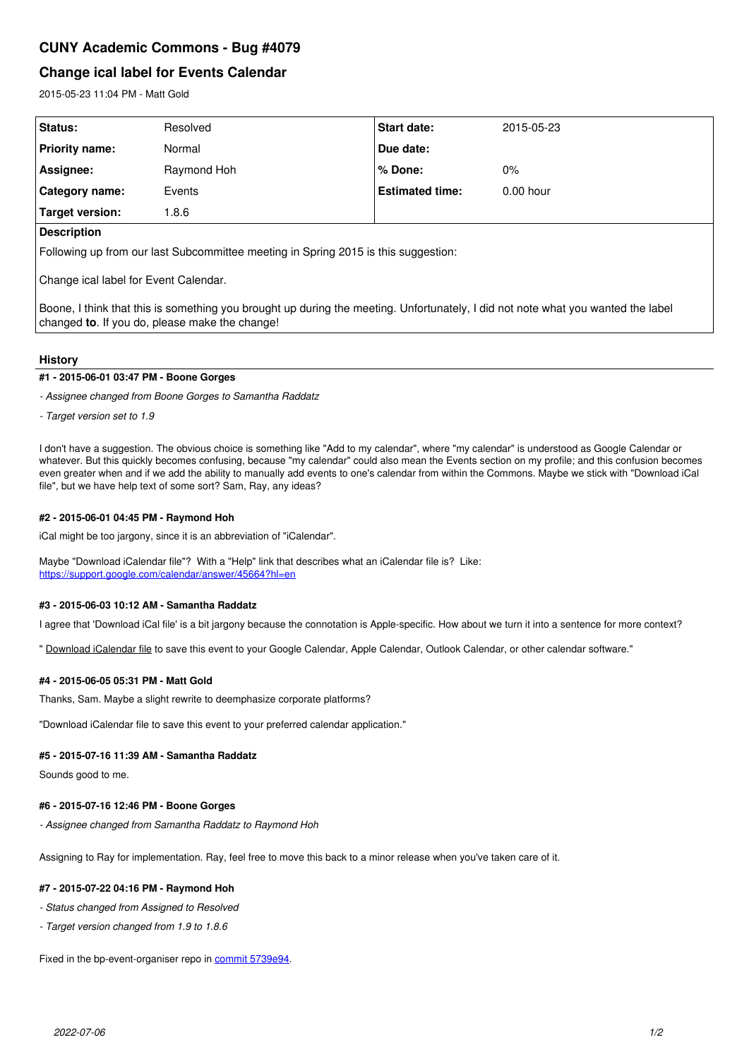# **CUNY Academic Commons - Bug #4079**

# **Change ical label for Events Calendar**

2015-05-23 11:04 PM - Matt Gold

| Status:               | Resolved    | Start date:            | 2015-05-23  |
|-----------------------|-------------|------------------------|-------------|
| Priority name:        | Normal      | Due date:              |             |
| Assignee:             | Raymond Hoh | ∣% Done:               | $0\%$       |
| <b>Category name:</b> | Events      | <b>Estimated time:</b> | $0.00$ hour |
| Target version:       | .8.6        |                        |             |
| $\Gamma$              |             |                        |             |

### **Description**

Following up from our last Subcommittee meeting in Spring 2015 is this suggestion:

Change ical label for Event Calendar.

Boone, I think that this is something you brought up during the meeting. Unfortunately, I did not note what you wanted the label changed **to**. If you do, please make the change!

### **History**

### **#1 - 2015-06-01 03:47 PM - Boone Gorges**

*- Assignee changed from Boone Gorges to Samantha Raddatz*

*- Target version set to 1.9*

I don't have a suggestion. The obvious choice is something like "Add to my calendar", where "my calendar" is understood as Google Calendar or whatever. But this quickly becomes confusing, because "my calendar" could also mean the Events section on my profile; and this confusion becomes even greater when and if we add the ability to manually add events to one's calendar from within the Commons. Maybe we stick with "Download iCal file", but we have help text of some sort? Sam, Ray, any ideas?

### **#2 - 2015-06-01 04:45 PM - Raymond Hoh**

iCal might be too jargony, since it is an abbreviation of "iCalendar".

Maybe "Download iCalendar file"? With a "Help" link that describes what an iCalendar file is? Like: <https://support.google.com/calendar/answer/45664?hl=en>

# **#3 - 2015-06-03 10:12 AM - Samantha Raddatz**

I agree that 'Download iCal file' is a bit jargony because the connotation is Apple-specific. How about we turn it into a sentence for more context?

" Download iCalendar file to save this event to your Google Calendar, Apple Calendar, Outlook Calendar, or other calendar software."

### **#4 - 2015-06-05 05:31 PM - Matt Gold**

Thanks, Sam. Maybe a slight rewrite to deemphasize corporate platforms?

"Download iCalendar file to save this event to your preferred calendar application."

### **#5 - 2015-07-16 11:39 AM - Samantha Raddatz**

Sounds good to me.

## **#6 - 2015-07-16 12:46 PM - Boone Gorges**

*- Assignee changed from Samantha Raddatz to Raymond Hoh*

Assigning to Ray for implementation. Ray, feel free to move this back to a minor release when you've taken care of it.

## **#7 - 2015-07-22 04:16 PM - Raymond Hoh**

- *Status changed from Assigned to Resolved*
- *Target version changed from 1.9 to 1.8.6*

Fixed in the bp-event-organiser repo in [commit 5739e94.](https://github.com/cuny-academic-commons/bp-event-organiser/commit/5739e94c7863ef89e04deb3e64c90e72c0cd2876)